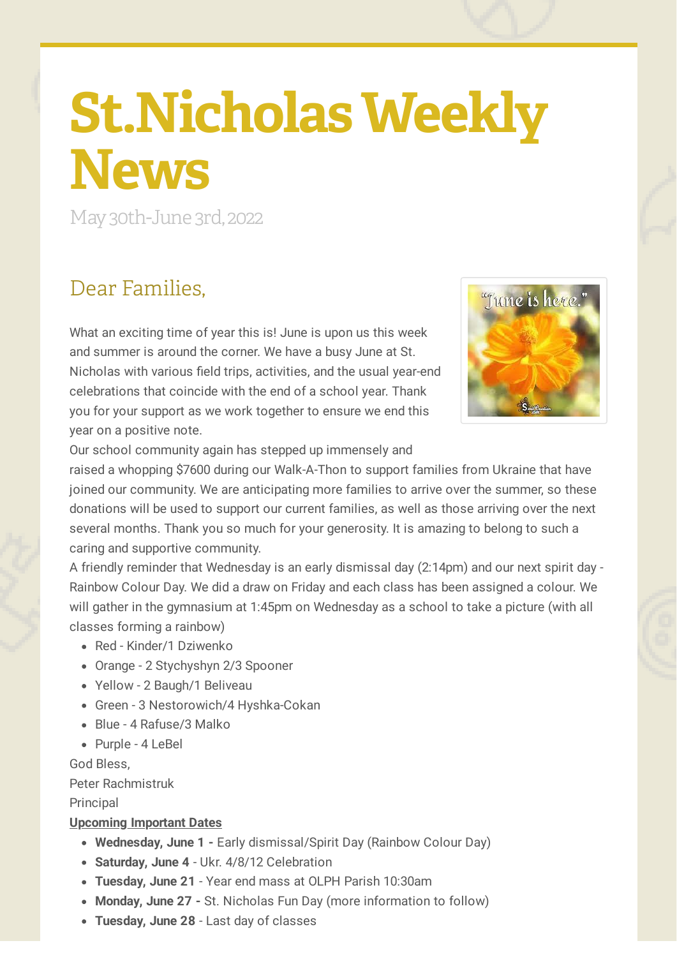# **St.Nicholas Weekly News**

May30th-June 3rd, 2022

### Dear Families,

What an exciting time of year this is! June is upon us this week and summer is around the corner. We have a busy June at St. Nicholas with various field trips, activities, and the usual year-end celebrations that coincide with the end of a school year. Thank you for your support as we work together to ensure we end this year on a positive note.



Our school community again has stepped up immensely and

raised a whopping \$7600 during our Walk-A-Thon to support families from Ukraine that have joined our community. We are anticipating more families to arrive over the summer, so these donations will be used to support our current families, as well as those arriving over the next several months. Thank you so much for your generosity. It is amazing to belong to such a caring and supportive community.

A friendly reminder that Wednesday is an early dismissal day (2:14pm) and our next spirit day - Rainbow Colour Day. We did a draw on Friday and each class has been assigned a colour. We will gather in the gymnasium at 1:45pm on Wednesday as a school to take a picture (with all classes forming a rainbow)

- Red Kinder/1 Dziwenko
- Orange 2 Stychyshyn 2/3 Spooner
- Yellow 2 Baugh/1 Beliveau
- Green 3 Nestorowich/4 Hyshka-Cokan
- Blue 4 Rafuse/3 Malko
- Purple 4 LeBel

God Bless,

Peter Rachmistruk

#### **Principal**

#### **Upcoming Important Dates**

- **Wednesday, June 1 -** Early dismissal/Spirit Day (Rainbow Colour Day)
- **Saturday, June 4** Ukr. 4/8/12 Celebration
- **Tuesday, June 21** Year end mass at OLPH Parish 10:30am
- **Monday, June 27 -** St. Nicholas Fun Day (more information to follow)
- **Tuesday, June 28** Last day of classes